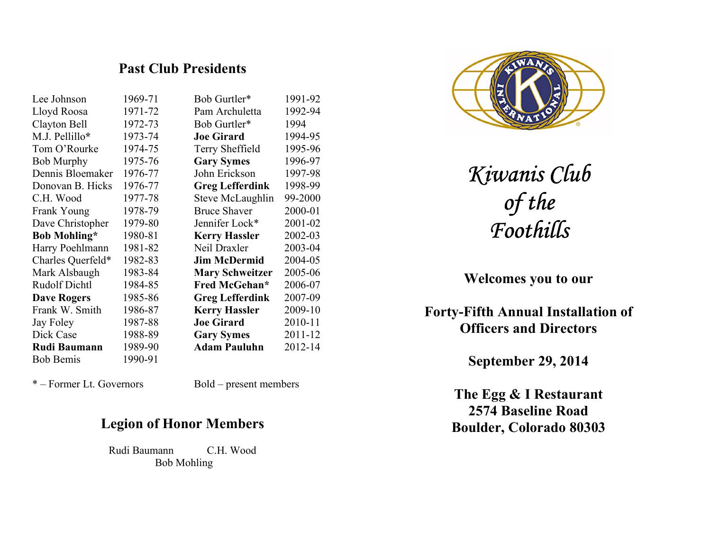## Past Club Presidents

| Lee Johnson          | 1969-71 | Bob Gurtler*           | 1991-92 |
|----------------------|---------|------------------------|---------|
| Lloyd Roosa          | 1971-72 | Pam Archuletta         | 1992-94 |
| Clayton Bell         | 1972-73 | Bob Gurtler*           | 1994    |
| M.J. Pellillo*       | 1973-74 | <b>Joe Girard</b>      | 1994-95 |
| Tom O'Rourke         | 1974-75 | Terry Sheffield        | 1995-96 |
| <b>Bob Murphy</b>    | 1975-76 | <b>Gary Symes</b>      | 1996-97 |
| Dennis Bloemaker     | 1976-77 | John Erickson          | 1997-98 |
| Donovan B. Hicks     | 1976-77 | <b>Greg Lefferdink</b> | 1998-99 |
| C.H. Wood            | 1977-78 | Steve McLaughlin       | 99-2000 |
| Frank Young          | 1978-79 | <b>Bruce Shaver</b>    | 2000-01 |
| Dave Christopher     | 1979-80 | Jennifer Lock*         | 2001-02 |
| <b>Bob Mohling*</b>  | 1980-81 | <b>Kerry Hassler</b>   | 2002-03 |
| Harry Poehlmann      | 1981-82 | Neil Draxler           | 2003-04 |
| Charles Querfeld*    | 1982-83 | <b>Jim McDermid</b>    | 2004-05 |
| Mark Alsbaugh        | 1983-84 | <b>Mary Schweitzer</b> | 2005-06 |
| <b>Rudolf Dichtl</b> | 1984-85 | Fred McGehan*          | 2006-07 |
| <b>Dave Rogers</b>   | 1985-86 | <b>Greg Lefferdink</b> | 2007-09 |
| Frank W. Smith       | 1986-87 | <b>Kerry Hassler</b>   | 2009-10 |
| Jay Foley            | 1987-88 | <b>Joe Girard</b>      | 2010-11 |
| Dick Case            | 1988-89 | <b>Gary Symes</b>      | 2011-12 |
| <b>Rudi Baumann</b>  | 1989-90 | <b>Adam Pauluhn</b>    | 2012-14 |
| <b>Bob Bemis</b>     | 1990-91 |                        |         |

\* – Former Lt. Governors Bold – present members

## Legion of Honor Members

 Rudi Baumann C.H. Wood Bob Mohling



Kiwanis Club of the Foothills

Welcomes you to our

Forty-Fifth Annual Installation of Officers and Directors

September 29, 2014

The Egg & I Restaurant 2574 Baseline Road Boulder, Colorado 80303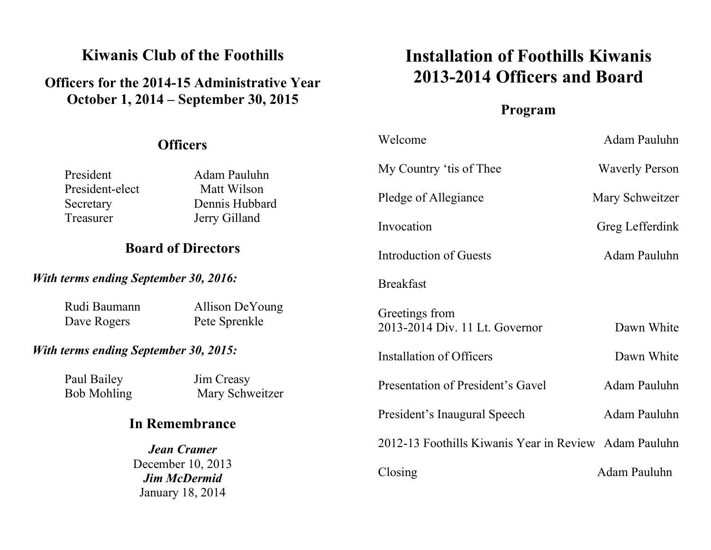# Kiwanis Club of the Foothills

# Officers for the 2014-15 Administrative Year October 1, 2014 – September 30, 2015

# Installation of Foothills Kiwanis 2013-2014 Officers and Board

# Program

| <b>Officers</b>                                                                                      |                                  | Welcome                                               | Adam Pauluhn          |
|------------------------------------------------------------------------------------------------------|----------------------------------|-------------------------------------------------------|-----------------------|
| President                                                                                            | Adam Pauluhn                     | My Country 'tis of Thee                               | <b>Waverly Person</b> |
| President-elect<br>Secretary<br>Treasurer                                                            | Matt Wilson<br>Dennis Hubbard    | Pledge of Allegiance                                  | Mary Schweitzer       |
|                                                                                                      | Jerry Gilland                    | Invocation                                            | Greg Lefferdink       |
| <b>Board of Directors</b>                                                                            |                                  | Introduction of Guests                                | Adam Pauluhn          |
| <b>With terms ending September 30, 2016:</b>                                                         |                                  | <b>Breakfast</b>                                      |                       |
| Rudi Baumann<br>Dave Rogers                                                                          | Allison DeYoung<br>Pete Sprenkle | Greetings from<br>2013-2014 Div. 11 Lt. Governor      | Dawn White            |
| <b>With terms ending September 30, 2015:</b>                                                         |                                  | Installation of Officers                              | Dawn White            |
| Paul Bailey<br><b>Bob Mohling</b>                                                                    | Jim Creasy<br>Mary Schweitzer    | Presentation of President's Gavel                     | Adam Pauluhn          |
| In Remembrance<br><b>Jean Cramer</b><br>December 10, 2013<br><b>Jim McDermid</b><br>January 18, 2014 |                                  | President's Inaugural Speech                          | Adam Pauluhn          |
|                                                                                                      |                                  | 2012-13 Foothills Kiwanis Year in Review Adam Pauluhn |                       |
|                                                                                                      |                                  | Closing                                               | Adam Pauluhn          |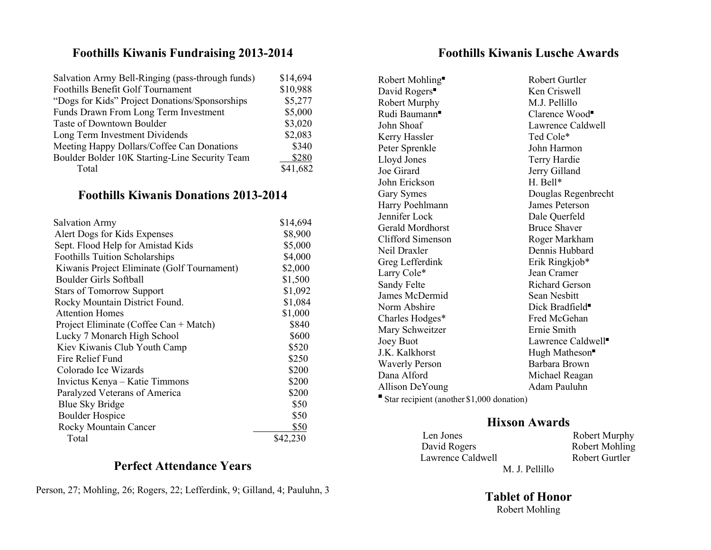#### Foothills Kiwanis Fundraising 2013-2014

| Salvation Army Bell-Ringing (pass-through funds) | \$14,694 |
|--------------------------------------------------|----------|
| Foothills Benefit Golf Tournament                | \$10,988 |
| "Dogs for Kids" Project Donations/Sponsorships   | \$5,277  |
| Funds Drawn From Long Term Investment            | \$5,000  |
| Taste of Downtown Boulder                        | \$3,020  |
| Long Term Investment Dividends                   | \$2,083  |
| Meeting Happy Dollars/Coffee Can Donations       | \$340    |
| Boulder Bolder 10K Starting-Line Security Team   | \$280    |
| Total                                            | \$41,682 |

### Foothills Kiwanis Donations 2013-2014

| <b>Salvation Army</b>                       | \$14,694 |
|---------------------------------------------|----------|
| Alert Dogs for Kids Expenses                | \$8,900  |
| Sept. Flood Help for Amistad Kids           | \$5,000  |
| <b>Foothills Tuition Scholarships</b>       | \$4,000  |
| Kiwanis Project Eliminate (Golf Tournament) | \$2,000  |
| Boulder Girls Softball                      | \$1,500  |
| <b>Stars of Tomorrow Support</b>            | \$1,092  |
| Rocky Mountain District Found.              | \$1,084  |
| <b>Attention Homes</b>                      | \$1,000  |
| Project Eliminate (Coffee Can + Match)      | \$840    |
| Lucky 7 Monarch High School                 | \$600    |
| Kiev Kiwanis Club Youth Camp                | \$520    |
| Fire Relief Fund                            | \$250    |
| Colorado Ice Wizards                        | \$200    |
| Invictus Kenya – Katie Timmons              | \$200    |
| Paralyzed Veterans of America               | \$200    |
| <b>Blue Sky Bridge</b>                      | \$50     |
| <b>Boulder Hospice</b>                      | \$50     |
| Rocky Mountain Cancer                       | \$50     |
| Total                                       | \$42,230 |

#### Perfect Attendance Years

Person, 27; Mohling, 26; Rogers, 22; Lefferdink, 9; Gilland, 4; Pauluhn, 3

### Foothills Kiwanis Lusche Awards

Robert Mohling■ David Rogers<sup>■</sup> Robert Murphy M.J. Pellillo Rudi Baumann■ John Shoaf Lawrence Caldwell Kerry Hassler Ted Cole\* Peter Sprenkle John Harmon Lloyd Jones Terry Hardie Joe Girard Jerry Gilland John Erickson H. Bell\* Gary Symes Douglas Regenbrecht Harry Poehlmann James Peterson Jennifer Lock Dale Querfeld Gerald Mordhorst Bruce Shaver Clifford Simenson Roger Markham Neil Draxler Dennis Hubbard Greg Lefferdink Erik Ringkjob\* Larry Cole<sup>\*</sup> Jean Cramer Sandy Felte Richard Gerson James McDermid Sean Nesbitt Norm Abshire Dick Bradfield■ Charles Hodges\* Fred McGehan Mary Schweitzer Ernie Smith Joey Buot Lawrence Caldwell■ J.K. Kalkhorst Hugh Matheson Waverly Person Barbara Brown Dana Alford Michael Reagan Allison DeYoung Adam Pauluhn

 Robert Gurtler Ken Criswell Clarence Wood■

■ Star recipient (another \$1,000 donation)

#### Hixson Awards

| Len Jones         | <b>Robert Murphy</b> |
|-------------------|----------------------|
| David Rogers      | Robert Mohling       |
| Lawrence Caldwell | Robert Gurtler       |
| M. J. Pellillo    |                      |

Tablet of Honor Robert Mohling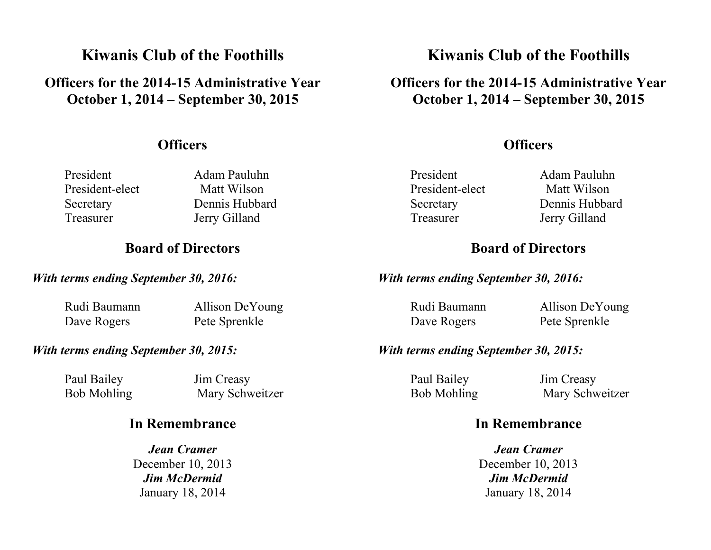# Kiwanis Club of the Foothills

## Officers for the 2014-15 Administrative Year October 1, 2014 – September 30, 2015

### **Officers**

President Adam Pauluhn President-elect Matt Wilson Treasurer Jerry Gilland

Secretary Dennis Hubbard

## Board of Directors

#### With terms ending September 30, 2016:

Rudi Baumann Allison DeYoung Dave Rogers Pete Sprenkle

#### With terms ending September 30, 2015:

Paul Bailey Jim Creasy

Bob Mohling Mary Schweitzer

## In Remembrance

Jean Cramer December 10, 2013 Jim McDermid January 18, 2014

# Kiwanis Club of the Foothills

## Officers for the 2014-15 Administrative Year October 1, 2014 – September 30, 2015

## **Officers**

President Adam Pauluhn President-elect Matt Wilson Secretary Dennis Hubbard Treasurer Jerry Gilland

## Board of Directors

With terms ending September 30, 2016:

Dave Rogers Pete Sprenkle

Rudi Baumann Allison DeYoung

#### With terms ending September 30, 2015:

Paul Bailey Jim Creasy

Bob Mohling Mary Schweitzer

## In Remembrance

Jean Cramer December 10, 2013 Jim McDermid January 18, 2014